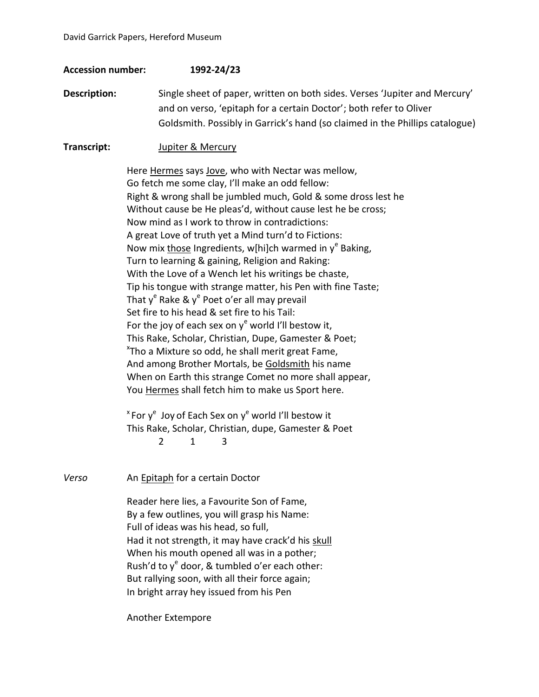## **Accession number: 1992-24/23**

**Description:** Single sheet of paper, written on both sides. Verses 'Jupiter and Mercury' and on verso, 'epitaph for a certain Doctor'; both refer to Oliver Goldsmith. Possibly in Garrick's hand (so claimed in the Phillips catalogue)

## **Transcript:** Jupiter & Mercury

Here Hermes says Jove, who with Nectar was mellow, Go fetch me some clay, I'll make an odd fellow: Right & wrong shall be jumbled much, Gold & some dross lest he Without cause be He pleas'd, without cause lest he be cross; Now mind as I work to throw in contradictions: A great Love of truth yet a Mind turn'd to Fictions: Now mix **those Ingredients, w[hi]ch warmed in y<sup>e</sup> Baking,** Turn to learning & gaining, Religion and Raking: With the Love of a Wench let his writings be chaste, Tip his tongue with strange matter, his Pen with fine Taste; That y<sup>e</sup> Rake & y<sup>e</sup> Poet o'er all may prevail Set fire to his head & set fire to his Tail: For the joy of each sex on  $y^e$  world I'll bestow it, This Rake, Scholar, Christian, Dupe, Gamester & Poet; <sup>x</sup>Tho a Mixture so odd, he shall merit great Fame, And among Brother Mortals, be Goldsmith his name When on Earth this strange Comet no more shall appear, You Hermes shall fetch him to make us Sport here.

 $x^*$  For  $y^e$  Joy of Each Sex on  $y^e$  world I'll bestow it This Rake, Scholar, Christian, dupe, Gamester & Poet 2 1 3

*Verso* An Epitaph for a certain Doctor Reader here lies, a Favourite Son of Fame, By a few outlines, you will grasp his Name: Full of ideas was his head, so full, Had it not strength, it may have crack'd his skull When his mouth opened all was in a pother; Rush'd to y<sup>e</sup> door, & tumbled o'er each other: But rallying soon, with all their force again; In bright array hey issued from his Pen

Another Extempore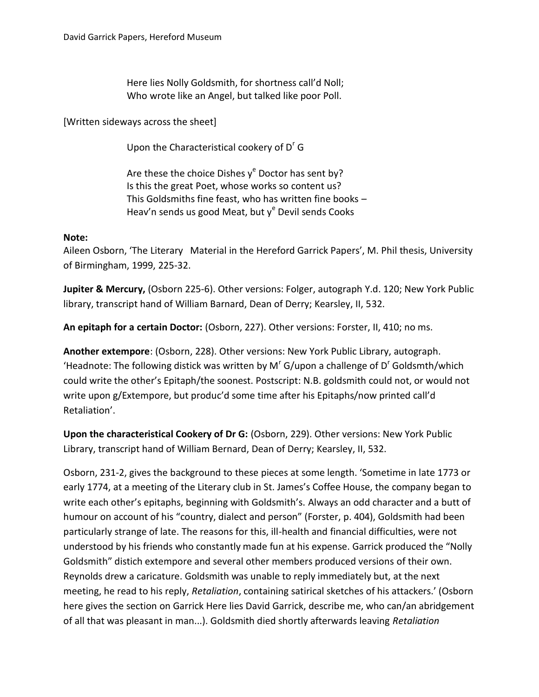Here lies Nolly Goldsmith, for shortness call'd Noll; Who wrote like an Angel, but talked like poor Poll.

[Written sideways across the sheet]

Upon the Characteristical cookery of  $D<sup>r</sup>$  G

Are these the choice Dishes  $y^e$  Doctor has sent by? Is this the great Poet, whose works so content us? This Goldsmiths fine feast, who has written fine books – Heav'n sends us good Meat, but y<sup>e</sup> Devil sends Cooks

## **Note:**

Aileen Osborn, 'The Literary Material in the Hereford Garrick Papers', M. Phil thesis, University of Birmingham, 1999, 225-32.

**Jupiter & Mercury,** (Osborn 225-6). Other versions: Folger, autograph Y.d. 120; New York Public library, transcript hand of William Barnard, Dean of Derry; Kearsley, II, 532.

**An epitaph for a certain Doctor:** (Osborn, 227). Other versions: Forster, II, 410; no ms.

**Another extempore**: (Osborn, 228). Other versions: New York Public Library, autograph. 'Headnote: The following distick was written by M<sup>r</sup> G/upon a challenge of D<sup>r</sup> Goldsmth/which could write the other's Epitaph/the soonest. Postscript: N.B. goldsmith could not, or would not write upon g/Extempore, but produc'd some time after his Epitaphs/now printed call'd Retaliation'.

**Upon the characteristical Cookery of Dr G:** (Osborn, 229). Other versions: New York Public Library, transcript hand of William Bernard, Dean of Derry; Kearsley, II, 532.

Osborn, 231-2, gives the background to these pieces at some length. 'Sometime in late 1773 or early 1774, at a meeting of the Literary club in St. James's Coffee House, the company began to write each other's epitaphs, beginning with Goldsmith's. Always an odd character and a butt of humour on account of his "country, dialect and person" (Forster, p. 404), Goldsmith had been particularly strange of late. The reasons for this, ill-health and financial difficulties, were not understood by his friends who constantly made fun at his expense. Garrick produced the "Nolly Goldsmith" distich extempore and several other members produced versions of their own. Reynolds drew a caricature. Goldsmith was unable to reply immediately but, at the next meeting, he read to his reply, *Retaliation*, containing satirical sketches of his attackers.' (Osborn here gives the section on Garrick Here lies David Garrick, describe me, who can/an abridgement of all that was pleasant in man...). Goldsmith died shortly afterwards leaving *Retaliation*